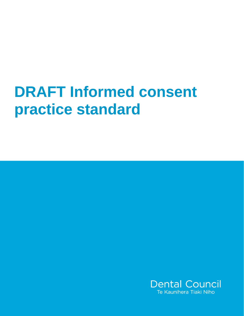# **DRAFT Informed consent practice standard**

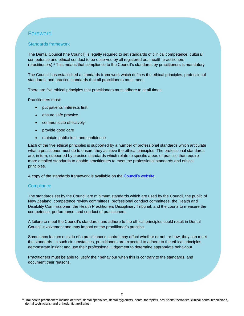# Foreword

#### Standards framework

The Dental Council (the Council) is legally required to set standards of clinical competence, cultural competence and ethical conduct to be observed by all registered oral health practitioners (practitioners). <sup>a</sup> This means that compliance to the Council's standards by practitioners is mandatory.

The Council has established a standards framework which defines the ethical principles, professional standards, and practice standards that all practitioners must meet.

There are five ethical principles that practitioners must adhere to at all times.

Practitioners must:

- put patients' interests first
- ensure safe practice
- communicate effectively
- provide good care
- maintain public trust and confidence.

Each of the five ethical principles is supported by a number of professional standards which articulate what a practitioner must do to ensure they achieve the ethical principles. The professional standards are, in turn, supported by practice standards which relate to specific areas of practice that require more detailed standards to enable practitioners to meet the professional standards and ethical principles.

A copy of the standards framework is available on the [Council's website.](http://dcnz.org.nz/i-practise-in-new-zealand/standards-framework/)

#### **Compliance**

The standards set by the Council are minimum standards which are used by the Council, the public of New Zealand, competence review committees, professional conduct committees, the Health and Disability Commissioner, the Health Practitioners Disciplinary Tribunal, and the courts to measure the competence, performance, and conduct of practitioners.

A failure to meet the Council's standards and adhere to the ethical principles could result in Dental Council involvement and may impact on the practitioner's practice.

Sometimes factors outside of a practitioner's control may affect whether or not, or how, they can meet the standards. In such circumstances, practitioners are expected to adhere to the ethical principles, demonstrate insight and use their professional judgement to determine appropriate behaviour.

Practitioners must be able to justify their behaviour when this is contrary to the standards, and document their reasons.

a Oral health practitioners include dentists, dental specialists, dental hygienists, dental therapists, oral health therapists, clinical dental technicians, dental technicians, and orthodontic auxiliaries.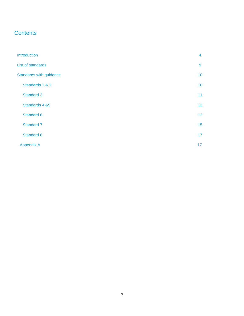# **Contents**

| Introduction            | 4               |
|-------------------------|-----------------|
| List of standards       | 9               |
| Standards with guidance | 10              |
| Standards 1 & 2         | 10              |
| Standard 3              | 11              |
| Standards 4 &5          | 12              |
| Standard 6              | 12              |
| Standard 7              | 15              |
| Standard 8              | 17              |
| <b>Appendix A</b>       | 17 <sub>2</sub> |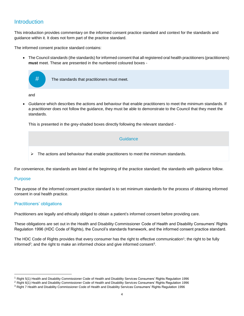## <span id="page-3-0"></span>Introduction

This introduction provides commentary on the informed consent practice standard and context for the standards and guidance within it. It does not form part of the practice standard.

The informed consent practice standard contains:

 The Council *standards* (the standards) for informed consent that all registered oral health practitioners (practitioners) **must** meet. These are presented in the numbered coloured boxes -



 *Guidance* which describes the actions and behaviour that enable practitioners to meet the minimum standards. If a practitioner does not follow the guidance, they must be able to demonstrate to the Council that they meet the standards.

This is presented in the grey-shaded boxes directly following the relevant standard -

#### **Guidance**

 $\triangleright$  The actions and behaviour that enable practitioners to meet the minimum standards.

For convenience, the standards are listed at the beginning of the practice standard; the standards with guidance follow.

#### Purpose

 $\overline{a}$ 

The purpose of the informed consent practice standard is to set minimum standards for the process of obtaining informed consent in oral health practice.

#### Practitioners' obligations

Practitioners are legally and ethically obliged to obtain a patient's informed consent before providing care.

These obligations are set out in the Health and Disability Commissioner Code of Health and Disability Consumers' Rights Regulation 1996 (HDC Code of Rights), the Council's standards framework, and the informed consent practice standard.

The HDC Code of Rights provides that every consumer has the right to effective communication<sup>1</sup>; the right to be fully informed<sup>2</sup>; and the right to make an informed choice and give informed consent<sup>3</sup>.

<sup>1</sup> Right 5(1) Health and Disability Commissioner Code of Health and Disability Services Consumers' Rights Regulation 1996

<sup>&</sup>lt;sup>2</sup> Right 6(1) Health and Disability Commissioner Code of Health and Disability Services Consumers' Rights Regulation 1996

<sup>&</sup>lt;sup>3</sup> Right 7 Health and Disability Commissioner Code of Health and Disability Services Consumers' Rights Regulation 1996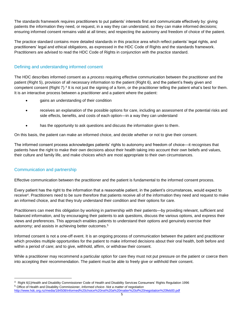The standards framework requires practitioners to put patients' interests first and communicate effectively by: giving patients the information they need, or request, in a way they can understand, so they can make informed decisions; ensuring informed consent remains valid at all times; and respecting the autonomy and freedom of choice of the patient.

The practice standard contains more detailed standards in this practice area which reflect patients' legal rights, and practitioners' legal and ethical obligations, as expressed in the HDC Code of Rights and the standards framework. Practitioners are advised to read the HDC Code of Rights in conjunction with the practice standard.

#### Defining and understanding informed consent

The HDC describes informed consent as a *process* requiring effective communication between the practitioner and the patient (Right 5), provision of all necessary information to the patient (Right 6), and the patient's freely given and competent consent (Right 7).<sup>4</sup> It is not just the signing of a form, or the practitioner telling the patient what's best for them. It is an interactive process between a practitioner and a patient where the patient:

- gains an understanding of their condition
- receives an explanation of the possible options for care, including an assessment of the potential risks and side effects, benefits, and costs of each option—in a way they can understand
- has the opportunity to ask questions and discuss the information given to them.

On this basis, the patient can make an informed choice, and decide whether or not to give their consent.

The informed consent process acknowledges patients' rights to autonomy and freedom of choice—it recognises that patients have the right to make their own decisions about their health taking into account their own beliefs and values, their culture and family life, and make choices which are most appropriate to their own circumstances.

#### Communication and partnership

 $\overline{a}$ 

Effective communication between the practitioner and the patient is fundamental to the informed consent process.

Every patient has the right to the information that a reasonable patient, in the patient's circumstances, would expect to receive<sup>4</sup>. Practitioners need to be sure therefore that patients receive all of the information they need and request to make an informed choice, and that they truly understand their condition and their options for care.

Practitioners can meet this obligation by working in partnership with their patients—by providing relevant, sufficient and balanced information, and by encouraging their patients to ask questions, discuss the various options, and express their views and preferences. This approach enables patients to understand their options and genuinely exercise their autonomy; and assists in achieving better outcomes.<sup>5</sup>

Informed consent is not a one-off event. It is an ongoing process of communication between the patient and practitioner which provides multiple opportunities for the patient to make informed decisions about their oral health, both before and within a period of care; and to give, withhold, affirm, or withdraw their consent.

While a practitioner may recommend a particular option for care they must not put pressure on the patient or coerce them into accepting their recommendation. The patient must be able to freely give or withhold their consent.

<sup>4</sup> Right 6(1)Health and Disability Commissioner Code of Health and Disability Services Consumers' Rights Regulation 1996 <sup>5</sup> Office of Health and Disability Commissioner, *Informed choice- Not a matter of negotiation*

<http://www.hdc.org.nz/media/184508/informed%20choice%20not%20a%20matter%20of%20negotiation%20feb00.pdf>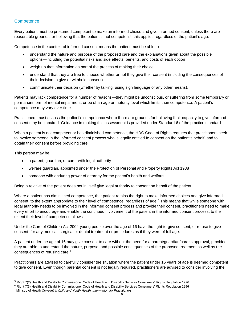#### **Competence**

Every patient must be presumed competent to make an informed choice and give informed consent, unless there are reasonable grounds for believing that the patient is not competent<sup>5</sup>; this applies regardless of the patient's age.

Competence in the context of informed consent means the patient must be able to:

- understand the nature and purpose of the proposed care and the explanations given about the possible options—including the potential risks and side effects, benefits, and costs of each option
- weigh up that information as part of the process of making their choice
- understand that they are free to choose whether or not they give their consent (including the consequences of their decision to give or withhold consent)
- communicate their decision (whether by talking, using sign language or any other means).

Patients may lack competence for a number of reasons—they might be unconscious, or suffering from some temporary or permanent form of mental impairment; or be of an age or maturity level which limits their competence. A patient's competence may vary over time.

Practitioners must assess the patient's competence where there are grounds for believing their capacity to give informed consent may be impaired. Guidance in making this assessment is provided under Standard 6 of the practice standard.

When a patient is not competent or has diminished competence, the HDC Code of Rights requires that practitioners seek to involve someone in the informed consent process who is legally entitled to consent on the patient's behalf, and to obtain their consent before providing care.

This person may be:

 $\overline{a}$ 

- a parent, guardian, or carer with legal authority
- welfare guardian, appointed under the Protection of Personal and Property Rights Act 1988
- someone with enduring power of attorney for the patient's health and welfare.

Being a relative of the patient does not in itself give legal authority to consent on behalf of the patient.

Where a patient has diminished competence, that patient retains the right to make informed choices and give informed consent, to the extent appropriate to their level of competence; regardless of age. <sup>6</sup> This means that while someone with legal authority needs to be involved in the informed consent process and provide their consent, practitioners need to make every effort to encourage and enable the continued involvement of the patient in the informed consent process, to the extent their level of competence allows.

Under the Care of Children Act 2004 young people over the age of 16 have the right to give consent, or refuse to give consent, for any medical, surgical or dental treatment or procedures as if they were of full age.

A patient under the age of 16 may give consent to care without the need for a parent/guardian/carer's approval, provided they are able to understand the nature, purpose, and possible consequences of the proposed treatment as well as the consequences of refusing care. 7

Practitioners are advised to carefully consider the situation where the patient under 16 years of age is deemed competent to give consent. Even though parental consent is not legally required, practitioners are advised to consider involving the

<sup>5</sup> Right 7(2) Health and Disability Commissioner Code of Health and Disability Services Consumers' Rights Regulation 1996

<sup>&</sup>lt;sup>6</sup> Right 7(3) Health and Disability Commissioner Code of Health and Disability Services Consumers' Rights Regulation 1996

<sup>7</sup> Ministry of Health *Consent in Child and Youth Health: Information for Practitioners*.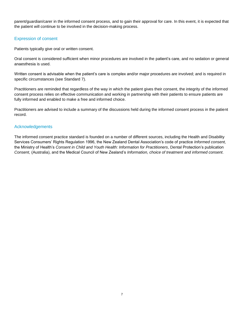parent/guardian/carer in the informed consent process, and to gain their approval for care. In this event, it is expected that the patient will continue to be involved in the decision-making process.

#### Expression of consent

Patients typically give oral or written consent.

Oral consent is considered sufficient when minor procedures are involved in the patient's care, and no sedation or general anaesthesia is used.

Written consent is advisable when the patient's care is complex and/or major procedures are involved; and is required in specific circumstances (see Standard 7).

Practitioners are reminded that regardless of the way in which the patient gives their consent, the integrity of the informed consent process relies on effective communication and working in partnership with their patients to ensure patients are fully informed and enabled to make a free and informed choice.

Practitioners are advised to include a summary of the discussions held during the informed consent process in the patient record.

#### Acknowledgements

The informed consent practice standard is founded on a number of different sources, including the Health and Disability Services Consumers' Rights Regulation 1996, the New Zealand Dental Association's code of practice *Informed consent,* the Ministry of Health's *Consent in Child and Youth Health: Information for Practitioners*, Dental Protection's publication *Consent,* (Australia), and the Medical Council of New Zealand's *Information, choice of treatment and informed consent.*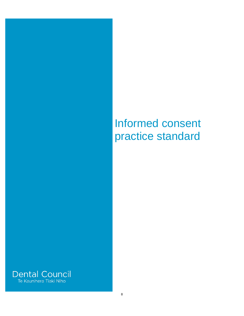# Informed consent practice standard

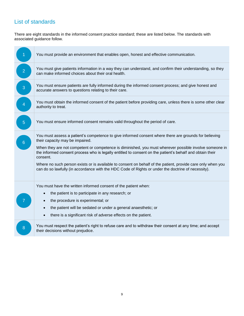# <span id="page-8-0"></span>List of standards

There are eight standards in the informed consent practice standard; these are listed below. The standards with associated guidance follow.

|                 | You must provide an environment that enables open, honest and effective communication.                                                                                                                                                                                                                                                                                                                                                                                                                                                                                                          |
|-----------------|-------------------------------------------------------------------------------------------------------------------------------------------------------------------------------------------------------------------------------------------------------------------------------------------------------------------------------------------------------------------------------------------------------------------------------------------------------------------------------------------------------------------------------------------------------------------------------------------------|
| $\overline{2}$  | You must give patients information in a way they can understand, and confirm their understanding, so they<br>can make informed choices about their oral health.                                                                                                                                                                                                                                                                                                                                                                                                                                 |
| $\overline{3}$  | You must ensure patients are fully informed during the informed consent process; and give honest and<br>accurate answers to questions relating to their care.                                                                                                                                                                                                                                                                                                                                                                                                                                   |
| $\overline{4}$  | You must obtain the informed consent of the patient before providing care, unless there is some other clear<br>authority to treat.                                                                                                                                                                                                                                                                                                                                                                                                                                                              |
| $\overline{5}$  | You must ensure informed consent remains valid throughout the period of care.                                                                                                                                                                                                                                                                                                                                                                                                                                                                                                                   |
| $6\overline{6}$ | You must assess a patient's competence to give informed consent where there are grounds for believing<br>their capacity may be impaired.<br>When they are not competent or competence is diminished, you must wherever possible involve someone in<br>the informed consent process who is legally entitled to consent on the patient's behalf and obtain their<br>consent.<br>Where no such person exists or is available to consent on behalf of the patient, provide care only when you<br>can do so lawfully (in accordance with the HDC Code of Rights or under the doctrine of necessity). |
|                 | You must have the written informed consent of the patient when:<br>the patient is to participate in any research; or<br>the procedure is experimental; or<br>the patient will be sedated or under a general anaesthetic; or<br>$\bullet$<br>there is a significant risk of adverse effects on the patient.<br>$\bullet$                                                                                                                                                                                                                                                                         |
| 8               | You must respect the patient's right to refuse care and to withdraw their consent at any time; and accept<br>their decisions without prejudice.                                                                                                                                                                                                                                                                                                                                                                                                                                                 |
|                 |                                                                                                                                                                                                                                                                                                                                                                                                                                                                                                                                                                                                 |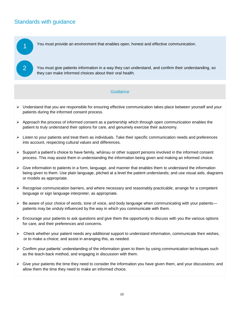# <span id="page-9-1"></span><span id="page-9-0"></span>Standards with guidance

1

2 3

You must provide an environment that enables open, honest and effective communication.

You must give patients information in a way they can understand, and confirm their understanding, so they can make informed choices about their oral health.

#### **Guidance**

- Understand that you are responsible for ensuring effective communication takes place between yourself and your patients during the informed consent process.
- $\triangleright$  Approach the process of informed consent as a partnership which through open communication enables the patient to truly understand their options for care, and genuinely exercise their autonomy.
- $\triangleright$  Listen to your patients and treat them as individuals. Take their specific communication needs and preferences into account, respecting cultural values and differences.
- $\triangleright$  Support a patient's choice to have family, whānau or other support persons involved in the informed consent process. This may assist them in understanding the information being given and making an informed choice.
- $\triangleright$  Give information to patients in a form, language, and manner that enables them to understand the information being given to them. Use plain language, pitched at a level the patient understands; and use visual aids, diagrams or models as appropriate.
- $\triangleright$  Recognise communication barriers, and where necessary and reasonably practicable, arrange for a competent language or sign language interpreter, as appropriate.
- $\triangleright$  Be aware of your choice of words, tone of voice, and body language when communicating with your patients patients may be unduly influenced by the way in which you communicate with them.
- $\triangleright$  Encourage your patients to ask questions and give them the opportunity to discuss with you the various options for care, and their preferences and concerns.
- $\triangleright$  Check whether your patient needs any additional support to understand information, communicate their wishes, or to make a choice; and assist in arranging this, as needed.
- $\triangleright$  Confirm your patients' understanding of the information given to them by using communication techniques such as the teach-back method, and engaging in discussion with them.
- $\triangleright$  Give your patients the time they need to consider the information you have given them, and your discussions; and allow them the time they need to make an informed choice.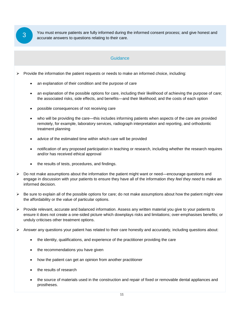<span id="page-10-0"></span>You must ensure patients are fully informed during the informed consent process; and give honest and **3** You must ensure patients are fully informed during to accurate answers to questions relating to their care.

#### **Guidance**

Provide the information the patient requests or needs to make an informed choice, including: 3

- an explanation of their condition and the purpose of care
- an explanation of the possible options for care, including their likelihood of achieving the purpose of care; the associated risks, side effects, and benefits—and their likelihood; and the costs of each option
- possible consequences of not receiving care
- who will be providing the care—this includes informing patients when aspects of the care are provided remotely, for example, laboratory services, radiograph interpretation and reporting, and orthodontic treatment planning
- advice of the estimated time within which care will be provided
- notification of any proposed participation in teaching or research, including whether the research requires and/or has received ethical approval
- the results of tests, procedures, and findings.
- $\triangleright$  Do not make assumptions about the information the patient might want or need—encourage questions and engage in discussion with your patients to ensure they have all of the information *they feel they need* to make an informed decision.
- $\triangleright$  Be sure to explain all of the possible options for care; do not make assumptions about how the patient might view the affordability or the value of particular options.
- $\triangleright$  Provide relevant, accurate and balanced information. Assess any written material you give to your patients to ensure it does not create a one-sided picture which downplays risks and limitations; over-emphasises benefits; or unduly criticises other treatment options.
- $\triangleright$  Answer any questions your patient has related to their care honestly and accurately, including questions about:
	- the identity, qualifications, and experience of the practitioner providing the care
	- the recommendations you have given
	- how the patient can get an opinion from another practitioner
	- the results of research
	- the source of materials used in the construction and repair of fixed or removable dental appliances and prostheses.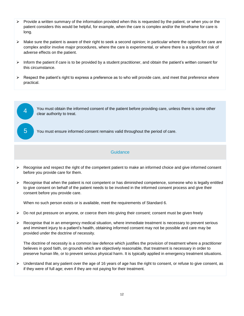- $\triangleright$  Provide a written summary of the information provided when this is requested by the patient, or when you or the patient considers this would be helpful, for example, when the care is complex and/or the timeframe for care is long.
- $\triangleright$  Make sure the patient is aware of their right to seek a second opinion; in particular where the options for care are complex and/or involve major procedures, where the care is experimental, or where there is a significant risk of adverse effects on the patient.
- $\triangleright$  Inform the patient if care is to be provided by a student practitioner, and obtain the patient's written consent for this circumstance.
- <span id="page-11-0"></span> $\triangleright$  Respect the patient's right to express a preference as to who will provide care, and meet that preference where practical.



You must ensure informed consent remains valid throughout the period of care.

#### **Guidance**

- <span id="page-11-1"></span> Recognise and respect the right of the competent patient to make an informed choice and give informed consent 3before you provide care for them.
- $\triangleright$  Recognise that when the patient is not competent or has diminished competence, someone who is legally entitled to give consent on behalf of the patient needs to be involved in the informed consent process and give their consent before you provide care.

When no such person exists or is available, meet the requirements of Standard 6.

- $\triangleright$  Do not put pressure on anyone, or coerce them into giving their consent; consent must be given freely
- $\triangleright$  Recognise that in an emergency medical situation, where immediate treatment is necessary to prevent serious and imminent injury to a patient's health, obtaining informed consent may not be possible and care may be provided under the doctrine of necessity.

The doctrine of necessity is a common law defence which justifies the provision of treatment where a practitioner believes in good faith, on grounds which are objectively reasonable, that treatment is necessary in order to preserve human life, or to prevent serious physical harm. It is typically applied in emergency treatment situations.

 $\triangleright$  Understand that any patient over the age of 16 years of age has the right to consent, or refuse to give consent, as if they were of full age; even if they are not paying for their treatment.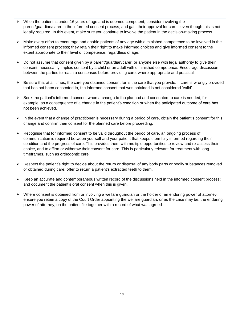- $\triangleright$  When the patient is under 16 years of age and is deemed competent, consider involving the parent/guardian/carer in the informed consent process, and gain their approval for care—even though this is not legally required. In this event, make sure you continue to involve the patient in the decision-making process.
- $\triangleright$  Make every effort to encourage and enable patients of any age with diminished competence to be involved in the informed consent process; they retain their right to make informed choices and give informed consent to the extent appropriate to their level of competence, regardless of age.
- $\triangleright$  Do not assume that consent given by a parent/guardian/carer, or anyone else with legal authority to give their consent, necessarily implies consent by a child or an adult with diminished competence. Encourage discussion between the parties to reach a consensus before providing care, where appropriate and practical.
- $\triangleright$  Be sure that at all times, the care you obtained consent for is the care that you provide. If care is wrongly provided that has not been consented to, the informed consent that was obtained is not considered 'valid'.
- $\triangleright$  Seek the patient's informed consent when a change to the planned and consented to care is needed, for example, as a consequence of a change in the patient's condition or when the anticipated outcome of care has not been achieved.
- $\triangleright$  In the event that a change of practitioner is necessary during a period of care, obtain the patient's consent for this change and confirm their consent for the planned care before proceeding.
- $\triangleright$  Recognise that for informed consent to be valid throughout the period of care, an ongoing process of communication is required between yourself and your patient that keeps them fully informed regarding their condition and the progress of care. This provides them with multiple opportunities to review and re-assess their choice, and to affirm or withdraw their consent for care. This is particularly relevant for treatment with long timeframes, such as orthodontic care.
- $\triangleright$  Respect the patient's right to decide about the return or disposal of any body parts or bodily substances removed or obtained during care; offer to return a patient's extracted teeth to them.
- $\triangleright$  Keep an accurate and contemporaneous written record of the discussions held in the informed consent process; and document the patient's oral consent when this is given.
- $\triangleright$  Where consent is obtained from or involving a welfare guardian or the holder of an enduring power of attorney, ensure you retain a copy of the Court Order appointing the welfare guardian, or as the case may be, the enduring power of attorney, on the patient file together with a record of what was agreed.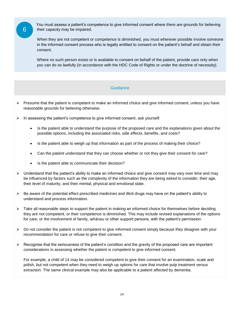6

6

 You must assess a patient's competence to give informed consent where there are grounds for believing their capacity may be impaired.

When they are not competent or competence is diminished, you must wherever possible involve someone in the informed consent process who is legally entitled to consent on the patient's behalf and obtain their consent.

Where no such person exists or is available to consent on behalf of the patient, provide care only when you can do so lawfully (in accordance with the HDC Code of Rights or under the doctrine of necessity).

#### **Guidance**

- $\triangleright$  Presume that the patient is competent to make an informed choice and give informed consent, unless you have reasonable grounds for believing otherwise.
- $\triangleright$  In assessing the patient's competence to give informed consent, ask yourself:
	- Is the patient able to understand the purpose of the proposed care and the explanations given about the possible options, including the associated risks, side effects, benefits, and costs?
	- Is the patient able to weigh up that information as part of the process of making their choice?
	- Can the patient understand that they can choose whether or not they give their consent for care?
	- Is the patient able to communicate their decision?
- $\triangleright$  Understand that the patient's ability to make an informed choice and give consent may vary over time and may be influenced by factors such as the complexity of the information they are being asked to consider, their age, their level of maturity, and their mental, physical and emotional state.
- $\triangleright$  Be aware of the potential effect prescribed medicines and illicit drugs may have on the patient's ability to understand and process information.
- $\triangleright$  Take all reasonable steps to support the patient in making an informed choice for themselves before deciding they are not competent, or their competence is diminished. This may include revised explanations of the options for care; or the involvement of family, whānau or other support persons, with the patient's permission.
- $\triangleright$  Do not consider the patient is not competent to give informed consent simply because they disagree with your recommendation for care or refuse to give their consent.
- $\triangleright$  Recognise that the seriousness of the patient's condition and the gravity of the proposed care are important considerations in assessing whether the patient is competent to give informed consent.

For example, a child of 14 may be considered competent to give their consent for an examination, scale and polish, but not competent when they need to weigh up options for care that involve pulp treatment versus extraction. The same clinical example may also be applicable to a patient affected by dementia.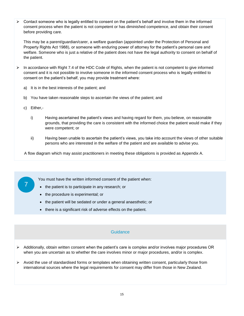$\triangleright$  Contact someone who is legally entitled to consent on the patient's behalf and involve them in the informed consent process when the patient is not competent or has diminished competence, and obtain their consent before providing care.

This may be a parent/guardian/carer, a welfare guardian (appointed under the Protection of Personal and Property Rights Act 1988), or someone with enduring power of attorney for the patient's personal care and welfare. Someone who is just a relative of the patient does not have the legal authority to consent on behalf of the patient.

- $\triangleright$  In accordance with Right 7.4 of the HDC Code of Rights, when the patient is not competent to give informed consent and it is not possible to involve someone in the informed consent process who is legally entitled to consent on the patient's behalf, you may provide treatment where:
	- a) It is in the best interests of the patient; and
	- b) You have taken reasonable steps to ascertain the views of the patient; and
	- c) Either,-

7

6

- i) Having ascertained the patient's views and having regard for them, you believe, on reasonable grounds, that providing the care is consistent with the informed choice the patient would make if they were competent; or
- ii) Having been unable to ascertain the patient's views, you take into account the views of other suitable persons who are interested in the welfare of the patient and are available to advise you.

<span id="page-14-0"></span>A flow diagram which may assist practitioners in meeting these obligations is provided as Appendix A.

You must have the written informed consent of the patient when:

- the patient is to participate in any research; or
- the procedure is experimental; or
- the patient will be sedated or under a general anaesthetic; or
- there is a significant risk of adverse effects on the patient.

#### Guidance

- $\triangleright$  Additionally, obtain written consent when the patient's care is complex and/or involves major procedures OR when you are uncertain as to whether the care involves minor or major procedures, and/or is complex.
- $\triangleright$  Avoid the use of standardised forms or templates when obtaining written consent, particularly those from international sources where the legal requirements for consent may differ from those in New Zealand.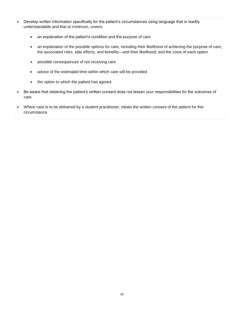- $\triangleright$  Develop written information specifically for the patient's circumstances using language that is readily understandable and that at minimum, covers:
	- an explanation of the patient's condition and the purpose of care
	- an explanation of the possible options for care, including their likelihood of achieving the purpose of care; the associated risks, side effects, and benefits—and their likelihood; and the costs of each option
	- possible consequences of not receiving care
	- advice of the estimated time within which care will be provided
	- the option to which the patient has agreed.
- Be aware that obtaining the patient's written consent does not lessen your responsibilities for the outcomes of care.
- $\triangleright$  Where care is to be delivered by a student practitioner, obtain the written consent of the patient for this circumstance.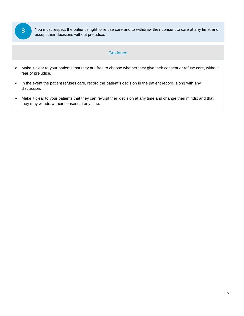8

6

<span id="page-16-0"></span>You must respect the patient's right to refuse care and to withdraw their consent to care at any time; and accept their decisions without prejudice.

#### **Guidance**

- > Make it clear to your patients that they are free to choose whether they give their consent or refuse care, without fear of prejudice.
- $\triangleright$  In the event the patient refuses care, record the patient's decision in the patient record, along with any discussion.
- Make it clear to your patients that they can re-visit their decision at any time and change their minds; and that they may withdraw their consent at any time.